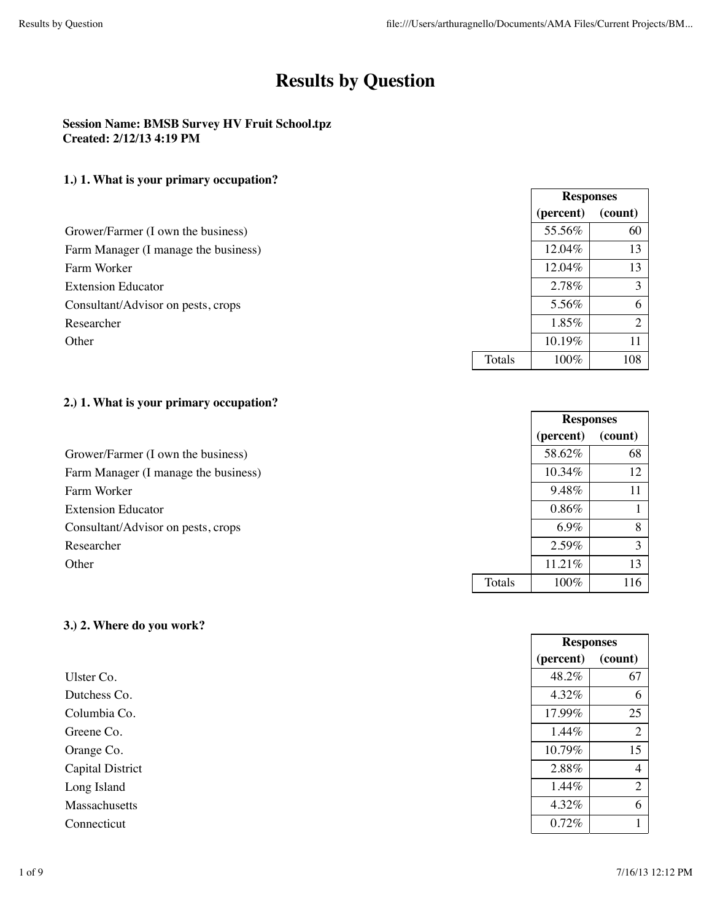$\Gamma$ 

**Responses**

┑

**Responses**

**Responses**

# **Results by Question**

### **Session Name: BMSB Survey HV Fruit School.tpz Created: 2/12/13 4:19 PM**

### **1.) 1. What is your primary occupation?**

|                                      |        | TTCphotoco |          |
|--------------------------------------|--------|------------|----------|
|                                      |        | (percent)  | (count)  |
| Grower/Farmer (I own the business)   |        | 55.56%     | 60       |
| Farm Manager (I manage the business) |        | 12.04%     | 13       |
| Farm Worker                          |        | 12.04%     | 13       |
| <b>Extension Educator</b>            |        | 2.78%      | 3        |
| Consultant/Advisor on pests, crops   |        | 5.56%      | 6        |
| Researcher                           |        | 1.85%      | $\gamma$ |
| Other                                |        | 10.19%     | 11       |
|                                      | Totals | 100%       | 108      |

### **2.) 1. What is your primary occupation?**

|                                      |        | (percent) | (count) |
|--------------------------------------|--------|-----------|---------|
| Grower/Farmer (I own the business)   |        | 58.62%    | 68      |
| Farm Manager (I manage the business) |        | 10.34%    | 12      |
| Farm Worker                          |        | 9.48%     |         |
| <b>Extension Educator</b>            |        | 0.86%     |         |
| Consultant/Advisor on pests, crops   |        | 6.9%      | 8       |
| Researcher                           |        | 2.59%     | ζ       |
| Other                                |        | 11.21%    | 13      |
|                                      | Totals | 100%      | 116     |

### **3.) 2. Where do you work?**

|                         | (percent) | (count)        |
|-------------------------|-----------|----------------|
| Ulster Co.              | 48.2%     | 67             |
| Dutchess Co.            | 4.32%     | 6              |
| Columbia Co.            | 17.99%    | 25             |
| Greene Co.              | 1.44%     | $\overline{2}$ |
| Orange Co.              | 10.79%    | 15             |
| <b>Capital District</b> | 2.88%     | 4              |
| Long Island             | 1.44%     | $\overline{2}$ |
| Massachusetts           | 4.32%     | 6              |
| Connecticut             | 0.72%     |                |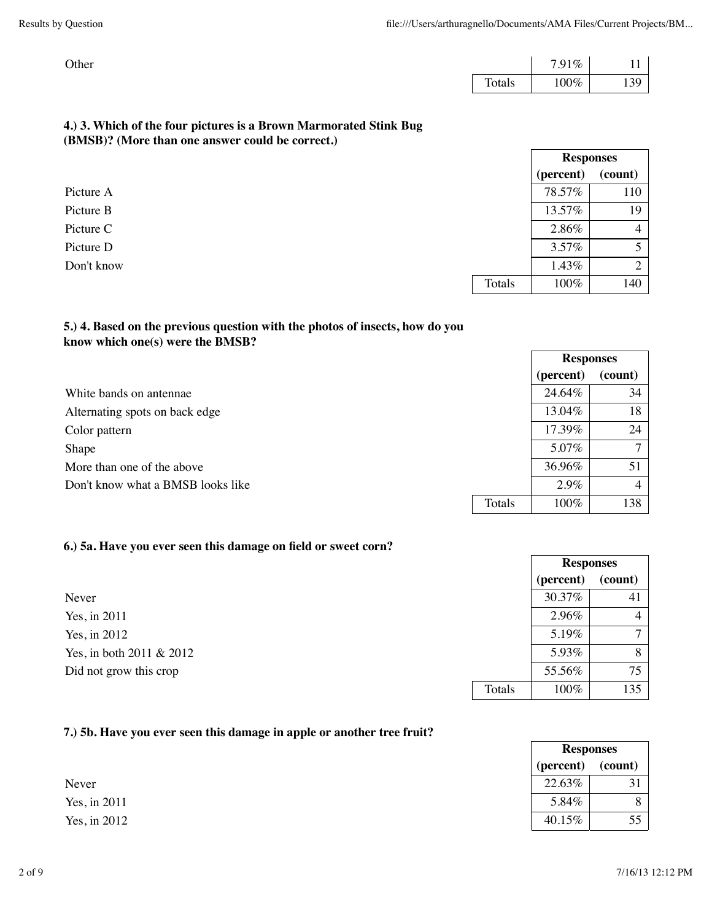| Other |        | 7.91% |     |
|-------|--------|-------|-----|
|       | Totals | 100%  | 139 |

**Responses**

### **4.) 3. Which of the four pictures is a Brown Marmorated Stink Bug (BMSB)? (More than one answer could be correct.)**

|            |        | (percent) | (count)        |
|------------|--------|-----------|----------------|
| Picture A  |        | 78.57%    | 110            |
| Picture B  |        | 13.57%    | 19             |
| Picture C  |        | 2.86%     | $\overline{4}$ |
| Picture D  |        | 3.57%     | 5              |
| Don't know |        | 1.43%     | 2              |
|            | Totals | 100%      | 140            |

### **5.) 4. Based on the previous question with the photos of insects, how do you know which one(s) were the BMSB?**

|                                   |        | <b>Responses</b> |              |
|-----------------------------------|--------|------------------|--------------|
|                                   |        | (percent)        | (count)      |
| White bands on antennae           |        | 24.64%           | 34           |
| Alternating spots on back edge    |        | 13.04%           | 18           |
| Color pattern                     |        | 17.39%           | 24           |
| Shape                             |        | 5.07%            | $\mathbf{r}$ |
| More than one of the above        |        | 36.96%           | 51           |
| Don't know what a BMSB looks like |        | 2.9%             | 4            |
|                                   | Totals | 100%             | 138          |

### **6.) 5a. Have you ever seen this damage on field or sweet corn?**

|                          |        | (percent) | (count)        |
|--------------------------|--------|-----------|----------------|
| Never                    |        | 30.37%    | 41             |
| Yes, in 2011             |        | 2.96%     | $\overline{4}$ |
| Yes, in 2012             |        | 5.19%     | $\tau$         |
| Yes, in both 2011 & 2012 |        | 5.93%     | 8              |
| Did not grow this crop   |        | 55.56%    | 75             |
|                          | Totals | 100%      | 135            |

#### **7.) 5b. Have you ever seen this damage in apple or another tree fruit?**

|              |           | <b>Responses</b> |
|--------------|-----------|------------------|
|              | (percent) | (count)          |
| Never        | 22.63%    | 21               |
| Yes, in 2011 | 5.84%     | 8                |
| Yes, in 2012 | 40.15%    | 55               |

**Responses**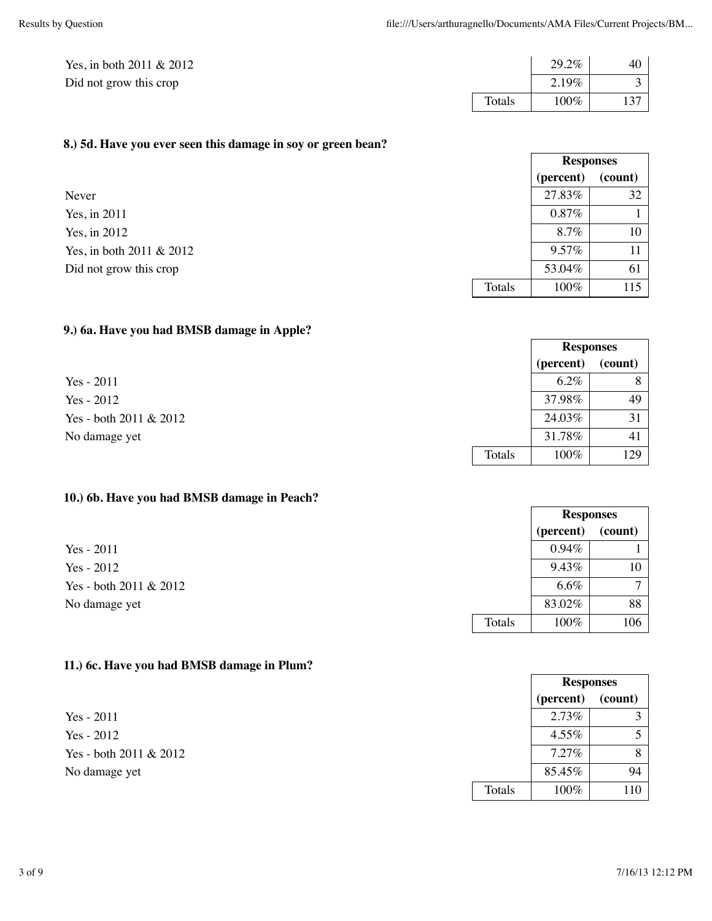| Yes, in both $2011 \& 2012$ |        | 29.2%   | 40  |
|-----------------------------|--------|---------|-----|
| Did not grow this crop      |        | 2.19%   |     |
|                             | Totals | $100\%$ | 137 |

### **8.) 5d. Have you ever seen this damage in soy or green bean?**

|                          |        | <b>Responses</b> |         |
|--------------------------|--------|------------------|---------|
|                          |        | (percent)        | (count) |
| Never                    |        | 27.83%           | 32      |
| Yes, in $2011$           |        | $0.87\%$         |         |
| Yes, in 2012             |        | 8.7%             | 10      |
| Yes, in both 2011 & 2012 |        | 9.57%            |         |
| Did not grow this crop   |        | 53.04%           | 61      |
|                          | Totals | 100%             | 115     |

### **9.) 6a. Have you had BMSB damage in Apple?**

|                        |        | <b>Responses</b> |         |
|------------------------|--------|------------------|---------|
|                        |        | (percent)        | (count) |
| Yes $-2011$            |        | $6.2\%$          | 8       |
| Yes - $2012$           |        | 37.98%           | 49      |
| Yes - both 2011 & 2012 |        | 24.03%           | 31      |
| No damage yet          |        | 31.78%           | 41      |
|                        | Totals | 100%             | 129     |

#### **10.) 6b. Have you had BMSB damage in Peach?**

|                        |        | (percent) | (count)        |
|------------------------|--------|-----------|----------------|
| Yes $-2011$            |        | $0.94\%$  |                |
| Yes - $2012$           |        | 9.43%     | 10             |
| Yes - both 2011 & 2012 |        | $6.6\%$   | $\overline{ }$ |
| No damage yet          |        | 83.02%    | 88             |
|                        | Totals | 100%      | 106            |

### **11.) 6c. Have you had BMSB damage in Plum?**

|                        |        | <b>Responses</b> |         |
|------------------------|--------|------------------|---------|
|                        |        | (percent)        | (count) |
| $Yes - 2011$           |        | 2.73%            |         |
| $Yes - 2012$           |        | 4.55%            |         |
| Yes - both 2011 & 2012 |        | $7.27\%$         | 8       |
| No damage yet          |        | 85.45%           | 94      |
|                        | Totals | 100%             | 110     |

**Responses**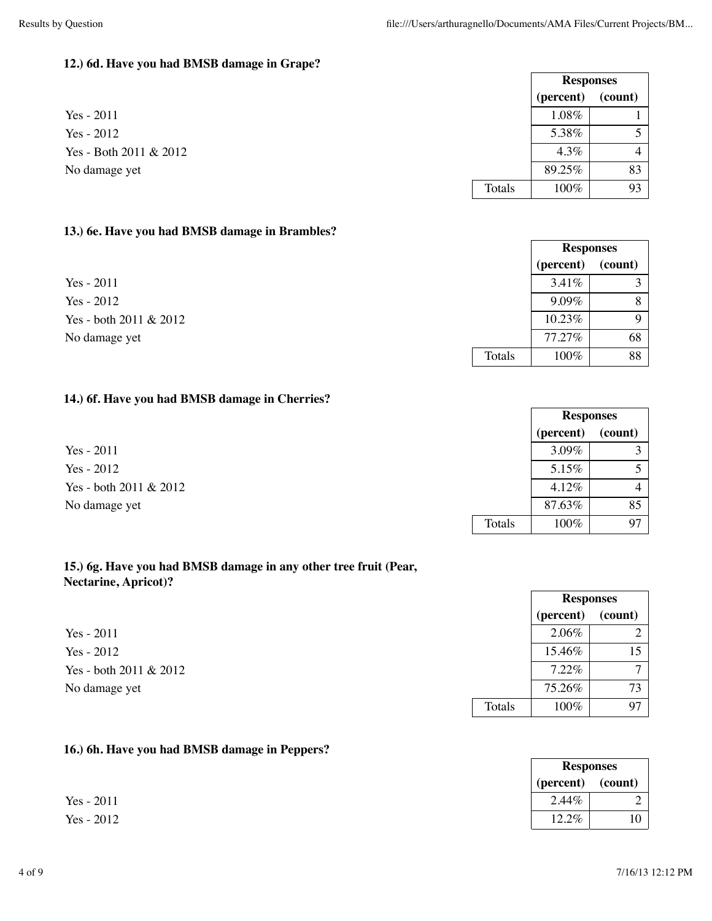#### **12.) 6d. Have you had BMSB damage in Grape?**

|                        |        | (percent) | (count) |
|------------------------|--------|-----------|---------|
| Yes $-2011$            |        | 1.08%     |         |
| Yes - $2012$           |        | 5.38%     |         |
| Yes - Both 2011 & 2012 |        | 4.3%      |         |
| No damage yet          |        | 89.25%    | 83      |
|                        | Totals | 100%      | 93      |

#### **13.) 6e. Have you had BMSB damage in Brambles?**

**14.) 6f. Have you had BMSB damage in Cherries?**

**15.) 6g. Have you had BMSB damage in any other tree fruit (Pear,**

**Nectarine, Apricot)?**

|                        |        | <b>Responses</b> |         |
|------------------------|--------|------------------|---------|
|                        |        | (percent)        | (count) |
| $Yes - 2011$           |        | 3.41%            | ◠       |
| $Yes - 2012$           |        | $9.09\%$         | 8       |
| Yes - both 2011 & 2012 |        | 10.23%           | Q       |
| No damage yet          |        | 77.27%           | 68      |
|                        | Totals | 100%             | 88      |

**Responses**

## **Responses (percent) (count)**  $Yes - 2011$  3.09% 3.09% 3  $Yes - 2012$  5.15% 5 Yes - both 2011 & 2012 4.12%  $\begin{array}{|c|c|c|c|c|c|c|c|c|} \hline &4.12\% & &4.12\% \hline \end{array}$ No damage yet 85 Totals 100% 97

| $\cdots$ . $\cdots$    |        |                  |                |
|------------------------|--------|------------------|----------------|
|                        |        | <b>Responses</b> |                |
|                        |        | (percent)        | (count)        |
| $Yes - 2011$           |        | 2.06%            |                |
| $Yes - 2012$           |        | 15.46%           | 15             |
| Yes - both 2011 & 2012 |        | 7.22%            | $\overline{ }$ |
| No damage yet          |        | 75.26%           | 73             |
|                        | Totals | 100%             | 97             |
|                        |        |                  |                |

**Responses (percent) (count)**

#### **16.) 6h. Have you had BMSB damage in Peppers?**

 $Yes - 2011$  2.44% 2  $Yes - 2012$  12.2% 10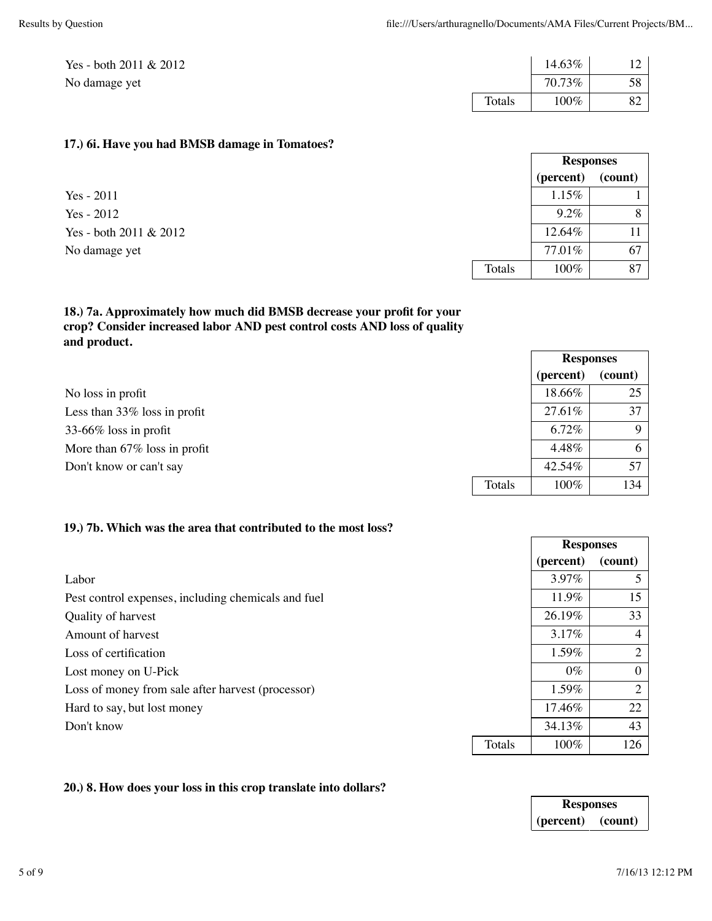**Responses**

| Yes - both $2011 \& 2012$ |        | 14.63%  | 12 |
|---------------------------|--------|---------|----|
| No damage yet             |        | 70.73%  | 58 |
|                           | Totals | $100\%$ | 82 |

#### **17.) 6i. Have you had BMSB damage in Tomatoes?**

|                        |        | (percent) | (count) |
|------------------------|--------|-----------|---------|
| Yes $-2011$            |        | 1.15%     |         |
| Yes - $2012$           |        | $9.2\%$   |         |
| Yes - both 2011 & 2012 |        | 12.64%    |         |
| No damage yet          |        | 77.01%    | -67     |
|                        | Totals | 100%      | 87      |

### **18.) 7a. Approximately how much did BMSB decrease your profit for your crop? Consider increased labor AND pest control costs AND loss of quality and product.**

|                                 |        | <b>Responses</b> |             |
|---------------------------------|--------|------------------|-------------|
|                                 |        | (percent)        | (count)     |
| No loss in profit               |        | 18.66%           | 25          |
| Less than $33\%$ loss in profit |        | 27.61%           | 37          |
| 33-66% loss in profit           |        | 6.72%            | $\mathbf Q$ |
| More than $67\%$ loss in profit |        | 4.48%            | 6           |
| Don't know or can't say         |        | 42.54%           | 57          |
|                                 | Totals | 100%             | 134         |

#### **19.) 7b. Which was the area that contributed to the most loss?**

|                                                     |        | (percent) | (count)        |
|-----------------------------------------------------|--------|-----------|----------------|
| Labor                                               |        | 3.97%     | 5              |
| Pest control expenses, including chemicals and fuel |        | 11.9%     | 15             |
| Quality of harvest                                  |        | 26.19%    | 33             |
| Amount of harvest                                   |        | 3.17%     | $\overline{4}$ |
| Loss of certification                               |        | 1.59%     | 2              |
| Lost money on U-Pick                                |        | $0\%$     | $\overline{0}$ |
| Loss of money from sale after harvest (processor)   |        | 1.59%     | 2              |
| Hard to say, but lost money                         |        | 17.46%    | 22             |
| Don't know                                          |        | 34.13%    | 43             |
|                                                     | Totals | 100%      | 126            |

#### **20.) 8. How does your loss in this crop translate into dollars?**

| <b>Responses</b> |         |  |
|------------------|---------|--|
| (percent)        | (count) |  |

**Responses**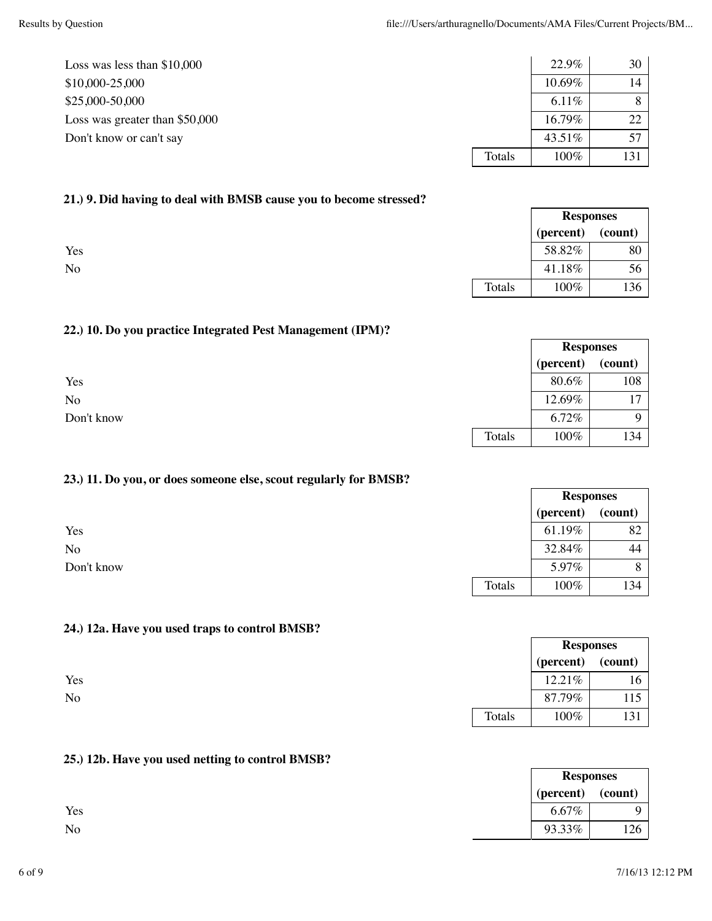**Responses**

٦

**Responses**

**Responses**

| Loss was less than $$10,000$    |        | 22.9%    | 30 <sup>1</sup> |
|---------------------------------|--------|----------|-----------------|
| $$10,000-25,000$                |        | 10.69%   |                 |
| \$25,000-50,000                 |        | $6.11\%$ |                 |
| Loss was greater than $$50,000$ |        | 16.79%   | 22              |
| Don't know or can't say         |        | 43.51%   | 57              |
|                                 | Totals | $100\%$  | 131             |

#### **21.) 9. Did having to deal with BMSB cause you to become stressed?**

|     |        |           | <b>Responses</b> |
|-----|--------|-----------|------------------|
|     |        | (percent) | (count)          |
| Yes |        | 58.82%    | 80               |
| No  |        | 41.18%    | 56               |
|     | Totals | 100%      | 136              |

#### **22.) 10. Do you practice Integrated Pest Management (IPM)?**

|                |        | (percent) | (count) |
|----------------|--------|-----------|---------|
| Yes            |        | 80.6%     | 108     |
| N <sub>o</sub> |        | 12.69%    | 17      |
| Don't know     |        | 6.72%     | Q       |
|                | Totals | 100%      | 134     |

#### **23.) 11. Do you, or does someone else, scout regularly for BMSB?**

|            |        |           | <b>Responses</b> |  |
|------------|--------|-----------|------------------|--|
|            |        | (percent) | (count)          |  |
| Yes        |        | 61.19%    | 82               |  |
| <b>No</b>  |        | 32.84%    | 44               |  |
| Don't know |        | 5.97%     | $\circ$          |  |
|            | Totals | 100%      | 134              |  |

### **24.) 12a. Have you used traps to control BMSB?**

|     |        | (percent) | (count)      |
|-----|--------|-----------|--------------|
| Yes |        | 12.21%    | 16           |
| No  |        | 87.79%    | 115          |
|     | Totals | 100%      | 121<br>1 J 1 |

#### **25.) 12b. Have you used netting to control BMSB?**

|     | (percent) | (count) |
|-----|-----------|---------|
| Yes | $6.67\%$  |         |
| No  | 93.33%    | 126     |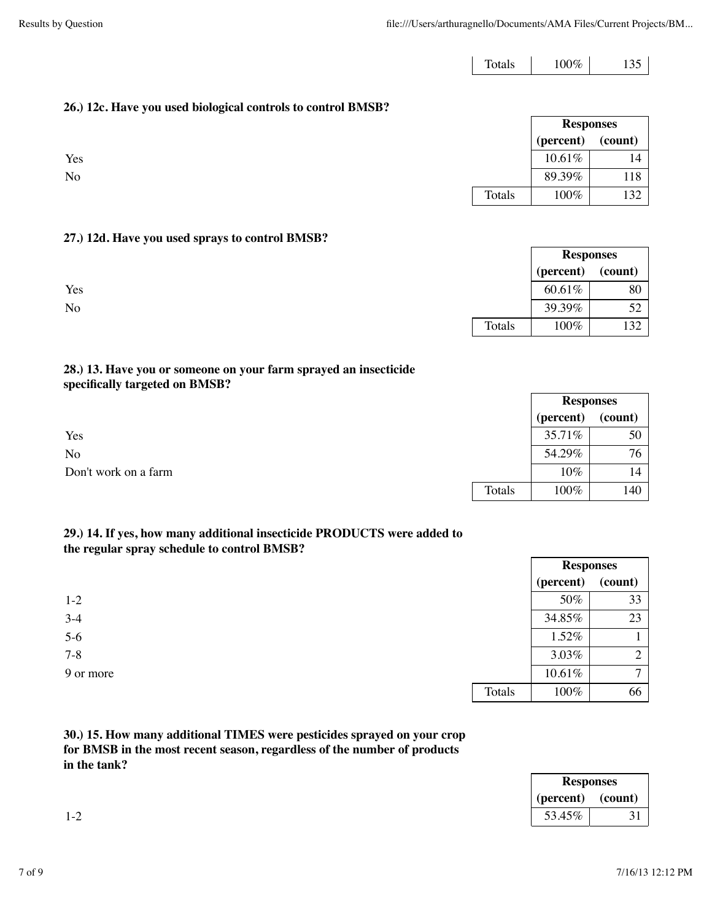$\Gamma$ 

Г

| $100\%$<br>Totals |
|-------------------|
|-------------------|

**Responses**

#### **26.) 12c. Have you used biological controls to control BMSB?**

|     |        | ---------- |         |
|-----|--------|------------|---------|
|     |        | (percent)  | (count) |
| Yes |        | 10.61%     | 14      |
| No  |        | 89.39%     | 118     |
|     | Totals | 100%       | 132     |

#### **27.) 12d. Have you used sprays to control BMSB?**

|     |        | <b>Responses</b> |         |
|-----|--------|------------------|---------|
|     |        | (percent)        | (count) |
| Yes |        | 60.61%           | 80      |
| No  |        | 39.39%           | 52      |
|     | Totals | 100%             | 132     |

#### **28.) 13. Have you or someone on your farm sprayed an insecticide specifically targeted on BMSB?**

|                      |        | <b>Responses</b> |         |
|----------------------|--------|------------------|---------|
|                      |        | (percent)        | (count) |
| Yes                  |        | 35.71%           | 50      |
| <b>No</b>            |        | 54.29%           | 76      |
| Don't work on a farm |        | 10%              | 14      |
|                      | Totals | 100%             | 140     |

#### **29.) 14. If yes, how many additional insecticide PRODUCTS were added to the regular spray schedule to control BMSB?**

|           |        | <b>Responses</b> |              |
|-----------|--------|------------------|--------------|
|           |        | (percent)        | (count)      |
| $1-2$     |        | 50%              | 33           |
| $3-4$     |        | 34.85%           | 23           |
| $5-6$     |        | 1.52%            |              |
| $7 - 8$   |        | 3.03%            | ◠            |
| 9 or more |        | 10.61%           | $\mathbf{r}$ |
|           | Totals | 100%             | 66           |

### **30.) 15. How many additional TIMES were pesticides sprayed on your crop for BMSB in the most recent season, regardless of the number of products in the tank?**

| <b>Responses</b> |           |
|------------------|-----------|
| (count)          | (percent) |
| ັ້               | 53.45%    |

 $\overline{\phantom{0}}$ 

 $\overline{\phantom{0}}$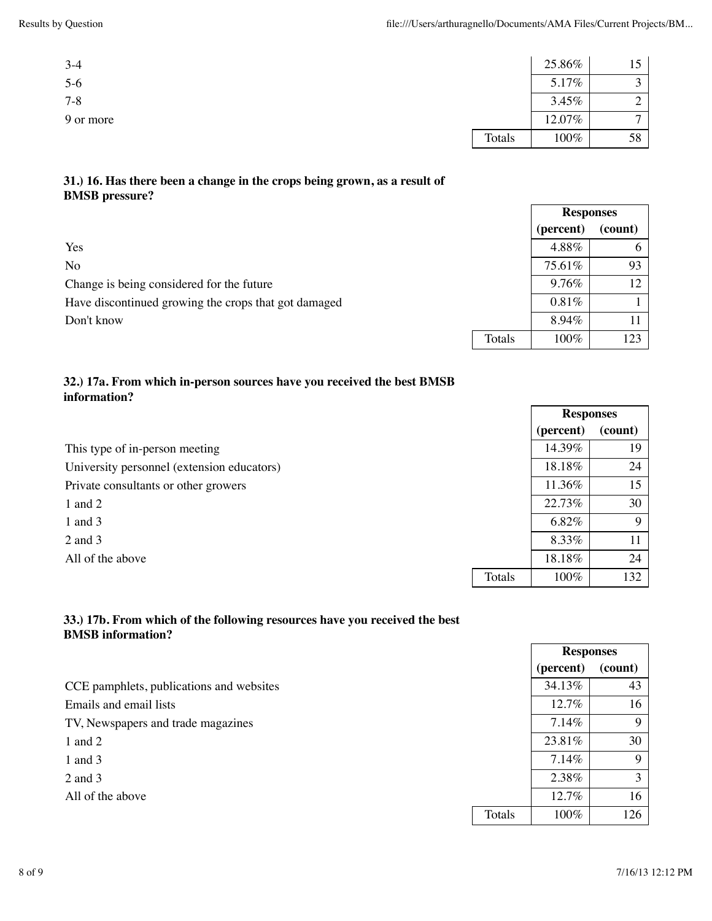| $3-4$     |        | 25.86% |    |
|-----------|--------|--------|----|
| $5-6$     |        | 5.17%  |    |
| $7 - 8$   |        | 3.45%  |    |
| 9 or more |        | 12.07% | −  |
|           | Totals | 100%   | 58 |

### **31.) 16. Has there been a change in the crops being grown, as a result of BMSB pressure?**

|                                                      |        | <b>Responses</b> |         |
|------------------------------------------------------|--------|------------------|---------|
|                                                      |        | (percent)        | (count) |
| Yes                                                  |        | 4.88%            |         |
| No                                                   |        | 75.61%           | 93      |
| Change is being considered for the future            |        | 9.76%            | 12      |
| Have discontinued growing the crops that got damaged |        | 0.81%            |         |
| Don't know                                           |        | 8.94%            |         |
|                                                      | Totals | 100%             | 123     |

#### **32.) 17a. From which in-person sources have you received the best BMSB information?**

|                                            |        | <b>Responses</b> |         |
|--------------------------------------------|--------|------------------|---------|
|                                            |        | (percent)        | (count) |
| This type of in-person meeting             |        | 14.39%           | 19      |
| University personnel (extension educators) |        | 18.18%           | 24      |
| Private consultants or other growers       |        | 11.36%           | 15      |
| 1 and 2                                    |        | 22.73%           | 30      |
| 1 and $3$                                  |        | 6.82%            | 9       |
| $2$ and $3$                                |        | 8.33%            | 11      |
| All of the above                           |        | 18.18%           | 24      |
|                                            | Totals | 100%             | 132     |

### **33.) 17b. From which of the following resources have you received the best BMSB information?**

|                                          |        | (percent) | (count) |
|------------------------------------------|--------|-----------|---------|
| CCE pamphlets, publications and websites |        | 34.13%    | 43      |
| Emails and email lists                   |        | $12.7\%$  | 16      |
| TV, Newspapers and trade magazines       |        | 7.14%     | 9       |
| 1 and $2$                                |        | 23.81%    | 30      |
| 1 and $3$                                |        | 7.14%     | 9       |
| 2 and 3                                  |        | 2.38%     | 3       |
| All of the above                         |        | $12.7\%$  | 16      |
|                                          | Totals | 100%      | 126     |

**Responses**